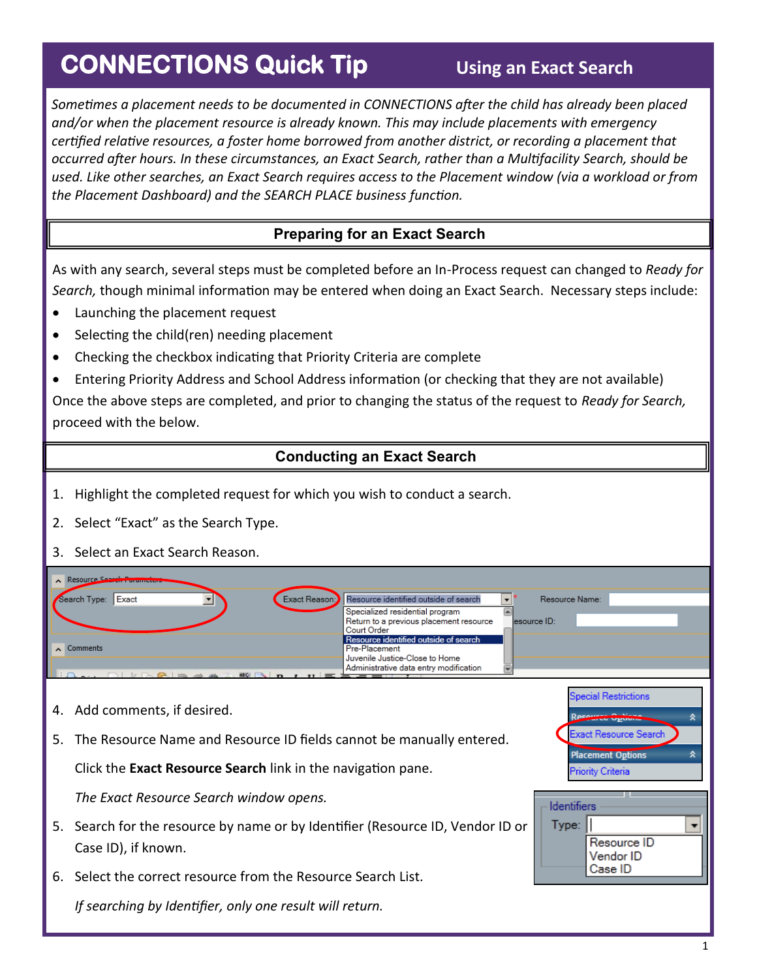## **CONNECTIONS Quick Tip**

*Sometimes a placement needs to be documented in CONNECTIONS after the child has already been placed and/or when the placement resource is already known. This may include placements with emergency certified relative resources, a foster home borrowed from another district, or recording a placement that occurred after hours. In these circumstances, an Exact Search, rather than a Multifacility Search, should be used. Like other searches, an Exact Search requires access to the Placement window (via a workload or from the Placement Dashboard) and the SEARCH PLACE business function.* 

## **Preparing for an Exact Search**

As with any search, several steps must be completed before an In-Process request can changed to *Ready for Search,* though minimal information may be entered when doing an Exact Search. Necessary steps include:

- Launching the placement request
- Selecting the child(ren) needing placement
- Checking the checkbox indicating that Priority Criteria are complete
- Entering Priority Address and School Address information (or checking that they are not available)

Once the above steps are completed, and prior to changing the status of the request to *Ready for Search,*  proceed with the below.

## **Conducting an Exact Search**

- 1. Highlight the completed request for which you wish to conduct a search.
- 2. Select "Exact" as the Search Type.
- 3. Select an Exact Search Reason.

| Resource Search Purameters   |                                                                                           |
|------------------------------|-------------------------------------------------------------------------------------------|
| Exact<br>Search Type:        | Exact Reason: Resource identified outside of search<br>Resource Name:                     |
|                              | Specialized residential program<br>Return to a previous placement resource<br>esource ID: |
|                              | Court Order                                                                               |
| $\sim$ Comments              | Resource identified outside of search<br>Pre-Placement                                    |
|                              | Juvenile Justice-Close to Home                                                            |
| <b>RBC</b>                   | Administrative data entry modification                                                    |
|                              |                                                                                           |
|                              | <b>Special Restrictions</b>                                                               |
| 4. Add comments, if desired. | ---                                                                                       |

5. The Resource Name and Resource ID fields cannot be manually entered.

Click the **Exact Resource Search** link in the navigation pane.

*The Exact Resource Search window opens.*

- 5. Search for the resource by name or by Identifier (Resource ID, Vendor ID or Case ID), if known.
- 6. Select the correct resource from the Resource Search List.

*If searching by Identifier, only one result will return.* 

Ŷ.

÷

ict Resource Search

Resource ID Vendor ID Case ID

**Placement Options** 

Priority Criteria

**Identifiers**  $Type: |$